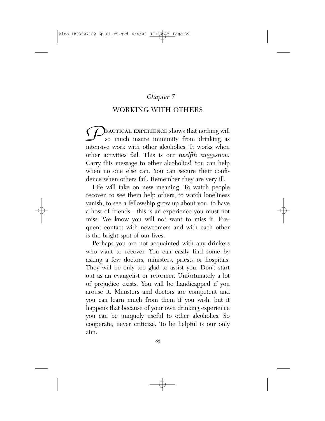## *Chapter 7*

## WORKING WITH OTHERS

**PRACTICAL EXPERIENCE** shows that nothing will so much insure immunity from drinking as intensive work with other alcoholics. It works when other activities fail. This is our *twelfth suggestion:*  Carry this message to other alcoholics! You can help when no one else can. You can secure their confidence when others fail. Remember they are very ill.

Life will take on new meaning. To watch people recover, to see them help others, to watch loneliness vanish, to see a fellowship grow up about you, to have a host of friends—this is an experience you must not miss. We know you will not want to miss it. Frequent contact with newcomers and with each other is the bright spot of our lives.

Perhaps you are not acquainted with any drinkers who want to recover. You can easily find some by asking a few doctors, ministers, priests or hospitals. They will be only too glad to assist you. Don't start out as an evangelist or reformer. Unfortunately a lot of prejudice exists. You will be handicapped if you arouse it. Ministers and doctors are competent and you can learn much from them if you wish, but it happens that because of your own drinking experience you can be uniquely useful to other alcoholics. So cooperate; never criticize. To be helpful is our only aim.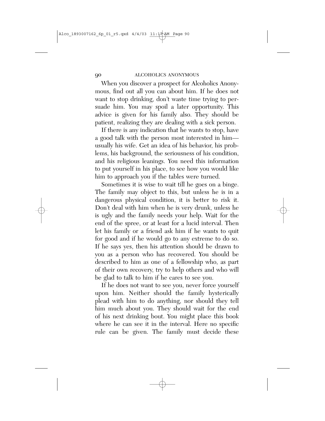When you discover a prospect for Alcoholics Anonymous, find out all you can about him. If he does not want to stop drinking, don't waste time trying to persuade him. You may spoil a later opportunity. This advice is given for his family also. They should be patient, realizing they are dealing with a sick person.

If there is any indication that he wants to stop, have a good talk with the person most interested in him usually his wife. Get an idea of his behavior, his problems, his background, the seriousness of his condition, and his religious leanings. You need this information to put yourself in his place, to see how you would like him to approach you if the tables were turned.

Sometimes it is wise to wait till he goes on a binge. The family may object to this, but unless he is in a dangerous physical condition, it is better to risk it. Don't deal with him when he is very drunk, unless he is ugly and the family needs your help. Wait for the end of the spree, or at least for a lucid interval. Then let his family or a friend ask him if he wants to quit for good and if he would go to any extreme to do so. If he says yes, then his attention should be drawn to you as a person who has recovered. You should be described to him as one of a fellowship who, as part of their own recovery, try to help others and who will be glad to talk to him if he cares to see you.

If he does not want to see you, never force yourself upon him. Neither should the family hysterically plead with him to do anything, nor should they tell him much about you. They should wait for the end of his next drinking bout. You might place this book where he can see it in the interval. Here no specific rule can be given. The family must decide these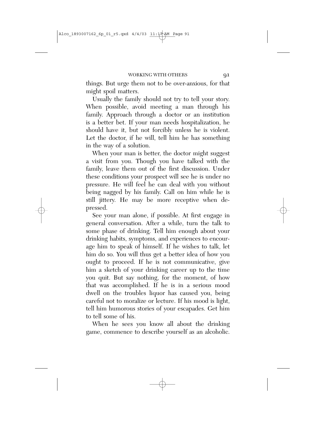things. But urge them not to be over-anxious, for that might spoil matters.

Usually the family should not try to tell your story. When possible, avoid meeting a man through his family. Approach through a doctor or an institution is a better bet. If your man needs hospitalization, he should have it, but not forcibly unless he is violent. Let the doctor, if he will, tell him he has something in the way of a solution.

When your man is better, the doctor might suggest a visit from you. Though you have talked with the family, leave them out of the first discussion. Under these conditions your prospect will see he is under no pressure. He will feel he can deal with you without being nagged by his family. Call on him while he is still jittery. He may be more receptive when depressed.

See your man alone, if possible. At first engage in general conversation. After a while, turn the talk to some phase of drinking. Tell him enough about your drinking habits, symptoms, and experiences to encourage him to speak of himself. If he wishes to talk, let him do so. You will thus get a better idea of how you ought to proceed. If he is not communicative, give him a sketch of your drinking career up to the time you quit. But say nothing, for the moment, of how that was accomplished. If he is in a serious mood dwell on the troubles liquor has caused you, being careful not to moralize or lecture. If his mood is light, tell him humorous stories of your escapades. Get him to tell some of his.

When he sees you know all about the drinking game, commence to describe yourself as an alcoholic.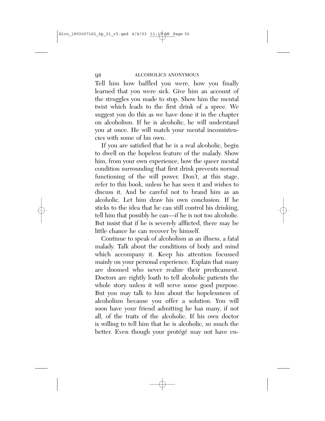Tell him how baffled you were, how you finally learned that you were sick. Give him an account of the struggles you made to stop. Show him the mental twist which leads to the first drink of a spree. We suggest you do this as we have done it in the chapter on alcoholism. If he is alcoholic, he will understand you at once. He will match your mental inconsistencies with some of his own.

If you are satisfied that he is a real alcoholic, begin to dwell on the hopeless feature of the malady. Show him, from your own experience, how the queer mental condition surrounding that first drink prevents normal functioning of the will power. Don't, at this stage, refer to this book, unless he has seen it and wishes to discuss it. And be careful not to brand him as an alcoholic. Let him draw his own conclusion. If he sticks to the idea that he can still control his drinking, tell him that possibly he can—if he is not too alcoholic. But insist that if he is severely afflicted, there may be little chance he can recover by himself.

Continue to speak of alcoholism as an illness, a fatal malady. Talk about the conditions of body and mind which accompany it. Keep his attention focussed mainly on your personal experience. Explain that many are doomed who never realize their predicament. Doctors are rightly loath to tell alcoholic patients the whole story unless it will serve some good purpose. But you may talk to him about the hopelessness of alcoholism because you offer a solution. You will soon have your friend admitting he has many, if not all, of the traits of the alcoholic. If his own doctor is willing to tell him that he is alcoholic, so much the better. Even though your protégé may not have en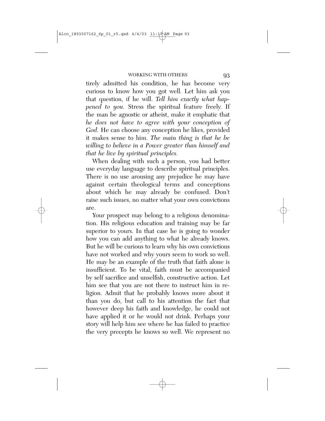tirely admitted his condition, he has become very curious to know how you got well. Let him ask you that question, if he will. *Tell him exactly what happened to you.* Stress the spiritual feature freely. If the man be agnostic or atheist, make it emphatic that *he does not have to agree with your conception of*  God. He can choose any conception he likes, provided it makes sense to him. *The main thing is that he be willing to believe in a Power greater than himself and that he live by spiritual principles.* 

When dealing with such a person, you had better use everyday language to describe spiritual principles. There is no use arousing any prejudice he may have against certain theological terms and conceptions about which he may already be confused. Don't raise such issues, no matter what your own convictions are.

Your prospect may belong to a religious denomination. His religious education and training may be far superior to yours. In that case he is going to wonder how you can add anything to what he already knows. But he will be curious to learn why his own convictions have not worked and why yours seem to work so well. He may be an example of the truth that faith alone is insufficient. To be vital, faith must be accompanied by self sacrifice and unselfish, constructive action. Let him see that you are not there to instruct him in religion. Admit that he probably knows more about it than you do, but call to his attention the fact that however deep his faith and knowledge, he could not have applied it or he would not drink. Perhaps your story will help him see where he has failed to practice the very precepts he knows so well. We represent no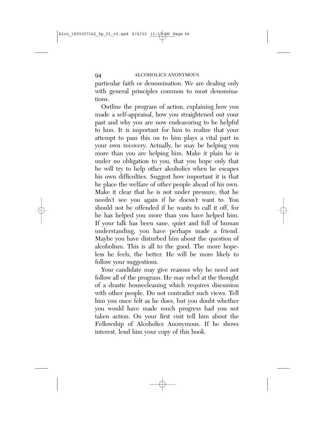particular faith or denomination. We are dealing only with general principles common to most denominations.

Outline the program of action, explaining how you made a self-appraisal, how you straightened out your past and why you are now endeavoring to be helpful to him. It is important for him to realize that your attempt to pass this on to him plays a vital part in your own recovery. Actually, he may be helping you more than you are helping him. Make it plain he is under no obligation to you, that you hope only that he will try to help other alcoholics when he escapes his own difficulties. Suggest how important it is that he place the welfare of other people ahead of his own. Make it clear that he is not under pressure, that he needn't see you again if he doesn't want to. You should not be offended if he wants to call it off, for he has helped you more than you have helped him. If your talk has been sane, quiet and full of human understanding, you have perhaps made a friend. Maybe you have disturbed him about the question of alcoholism. This is all to the good. The more hopeless he feels, the better. He will be more likely to follow your suggestions.

Your candidate may give reasons why he need not follow all of the program. He may rebel at the thought of a drastic housecleaning which requires discussion with other people. Do not contradict such views. Tell him you once felt as he does, but you doubt whether you would have made much progress had you not taken action. On your first visit tell him about the Fellowship of Alcoholics Anonymous. If he shows interest, lend him your copy of this book.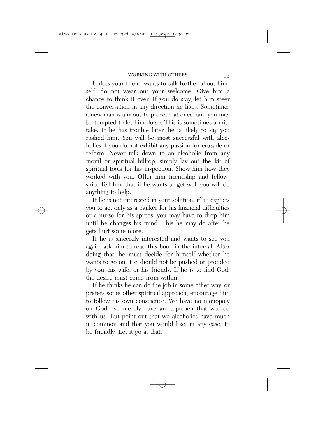Unless your friend wants to talk further about himself, do not wear out your welcome. Give him a chance to think it over. If you do stay, let him steer the conversation in any direction he likes. Sometimes a new man is anxious to proceed at once, and you may be tempted to let him do so. This is sometimes a mistake. If he has trouble later, he is likely to say you rushed him. You will be most successful with alcoholics if you do not exhibit any passion for crusade or reform. Never talk down to an alcoholic from any moral or spiritual hilltop; simply lay out the kit of spiritual tools for his inspection. Show him how they worked with you. Offer him friendship and fellowship. Tell him that if he wants to get well you will do anything to help.

If he is not interested in your solution, if he expects you to act only as a banker for his financial difficulties or a nurse for his sprees, you may have to drop him until he changes his mind. This he may do after he gets hurt some more.

If he is sincerely interested and wants to see you again, ask him to read this book in the interval. After doing that, he must decide for himself whether he wants to go on. He should not be pushed or prodded by you, his wife, or his friends. If he is to find God, the desire must come from within.

If he thinks he can do the job in some other way, or prefers some other spiritual approach, encourage him to follow his own conscience. We have no monopoly on God; we merely have an approach that worked with us. But point out that we alcoholics have much in common and that you would like, in any case, to be friendly. Let it go at that.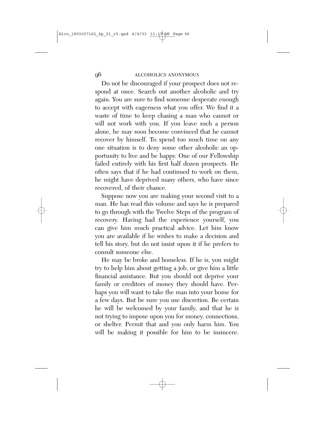Do not be discouraged if your prospect does not respond at once. Search out another alcoholic and try again. You are sure to find someone desperate enough to accept with eagerness what you offer. We find it a waste of time to keep chasing a man who cannot or will not work with you. If you leave such a person alone, he may soon become convinced that he cannot recover by himself. To spend too much time on any one situation is to deny some other alcoholic an opportunity to live and be happy. One of our Fellowship failed entirely with his first half dozen prospects. He often says that if he had continued to work on them, he might have deprived many others, who have since recovered, of their chance.

Suppose now you are making your second visit to a man. He has read this volume and says he is prepared to go through with the Twelve Steps of the program of recovery. Having had the experience yourself, you can give him much practical advice. Let him know you are available if he wishes to make a decision and tell his story, but do not insist upon it if he prefers to consult someone else.

He may be broke and homeless. If he is, you might try to help him about getting a job, or give him a little financial assistance. But you should not deprive your family or creditors of money they should have. Perhaps you will want to take the man into your home for a few days. But be sure you use discretion. Be certain he will be welcomed by your family, and that he is not trying to impose upon you for money, connections, or shelter. Permit that and you only harm him. You will be making it possible for him to be insincere.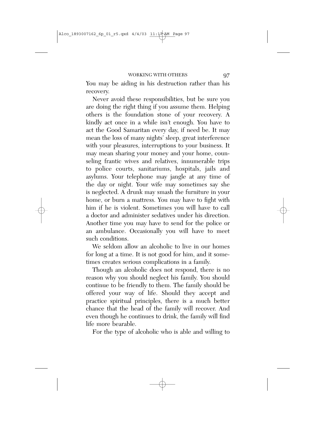You may be aiding in his destruction rather than his recovery.

Never avoid these responsibilities, but be sure you are doing the right thing if you assume them. Helping others is the foundation stone of your recovery. A kindly act once in a while isn't enough. You have to act the Good Samaritan every day, if need be. It may mean the loss of many nights' sleep, great interference with your pleasures, interruptions to your business. It may mean sharing your money and your home, counseling frantic wives and relatives, innumerable trips to police courts, sanitariums, hospitals, jails and asylums. Your telephone may jangle at any time of the day or night. Your wife may sometimes say she is neglected. A drunk may smash the furniture in your home, or burn a mattress. You may have to fight with him if he is violent. Sometimes you will have to call a doctor and administer sedatives under his direction. Another time you may have to send for the police or an ambulance. Occasionally you will have to meet such conditions.

We seldom allow an alcoholic to live in our homes for long at a time. It is not good for him, and it sometimes creates serious complications in a family.

Though an alcoholic does not respond, there is no reason why you should neglect his family. You should continue to be friendly to them. The family should be offered your way of life. Should they accept and practice spiritual principles, there is a much better chance that the head of the family will recover. And even though he continues to drink, the family will find life more bearable.

For the type of alcoholic who is able and willing to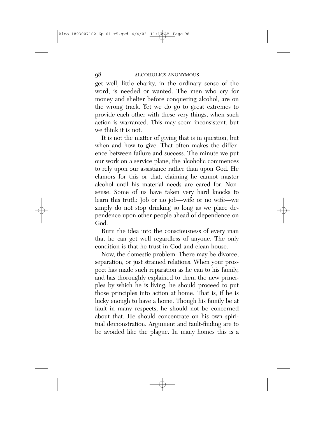get well, little charity, in the ordinary sense of the word, is needed or wanted. The men who cry for money and shelter before conquering alcohol, are on the wrong track. Yet we do go to great extremes to provide each other with these very things, when such action is warranted. This may seem inconsistent, but we think it is not.

It is not the matter of giving that is in question, but when and how to give. That often makes the difference between failure and success. The minute we put our work on a service plane, the alcoholic commences to rely upon our assistance rather than upon God. He clamors for this or that, claiming he cannot master alcohol until his material needs are cared for. Nonsense. Some of us have taken very hard knocks to learn this truth: Job or no job—wife or no wife—we simply do not stop drinking so long as we place dependence upon other people ahead of dependence on God.

Burn the idea into the consciousness of every man that he can get well regardless of anyone. The only condition is that he trust in God and clean house.

Now, the domestic problem: There may be divorce, separation, or just strained relations. When your prospect has made such reparation as he can to his family, and has thoroughly explained to them the new principles by which he is living, he should proceed to put those principles into action at home. That is, if he is lucky enough to have a home. Though his family be at fault in many respects, he should not be concerned about that. He should concentrate on his own spiritual demonstration. Argument and fault-finding are to be avoided like the plague. In many homes this is a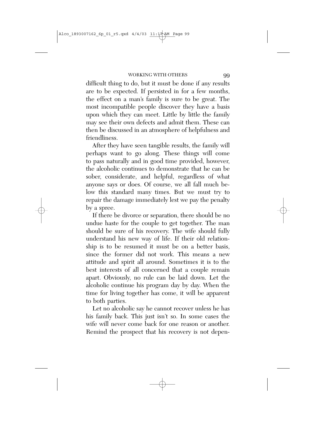difficult thing to do, but it must be done if any results are to be expected. If persisted in for a few months, the effect on a man's family is sure to be great. The most incompatible people discover they have a basis upon which they can meet. Little by little the family may see their own defects and admit them. These can then be discussed in an atmosphere of helpfulness and friendliness.

After they have seen tangible results, the family will perhaps want to go along. These things will come to pass naturally and in good time provided, however, the alcoholic continues to demonstrate that he can be sober, considerate, and helpful, regardless of what anyone says or does. Of course, we all fall much below this standard many times. But we must try to repair the damage immediately lest we pay the penalty by a spree.

If there be divorce or separation, there should be no undue haste for the couple to get together. The man should be sure of his recovery. The wife should fully understand his new way of life. If their old relationship is to be resumed it must be on a better basis, since the former did not work. This means a new attitude and spirit all around. Sometimes it is to the best interests of all concerned that a couple remain apart. Obviously, no rule can be laid down. Let the alcoholic continue his program day by day. When the time for living together has come, it will be apparent to both parties.

Let no alcoholic say he cannot recover unless he has his family back. This just isn't so. In some cases the wife will never come back for one reason or another. Remind the prospect that his recovery is not depen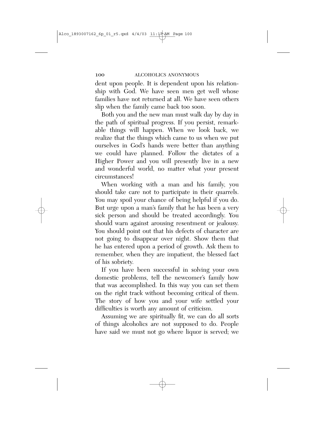dent upon people. It is dependent upon his relationship with God. We have seen men get well whose families have not returned at all. We have seen others slip when the family came back too soon.

Both you and the new man must walk day by day in the path of spiritual progress. If you persist, remarkable things will happen. When we look back, we realize that the things which came to us when we put ourselves in God's hands were better than anything we could have planned. Follow the dictates of a Higher Power and you will presently live in a new and wonderful world, no matter what your present circumstances!

When working with a man and his family, you should take care not to participate in their quarrels. You may spoil your chance of being helpful if you do. But urge upon a man's family that he has been a very sick person and should be treated accordingly. You should warn against arousing resentment or jealousy. You should point out that his defects of character are not going to disappear over night. Show them that he has entered upon a period of growth. Ask them to remember, when they are impatient, the blessed fact of his sobriety.

If you have been successful in solving your own domestic problems, tell the newcomer's family how that was accomplished. In this way you can set them on the right track without becoming critical of them. The story of how you and your wife settled your difficulties is worth any amount of criticism.

Assuming we are spiritually fit, we can do all sorts of things alcoholics are not supposed to do. People have said we must not go where liquor is served; we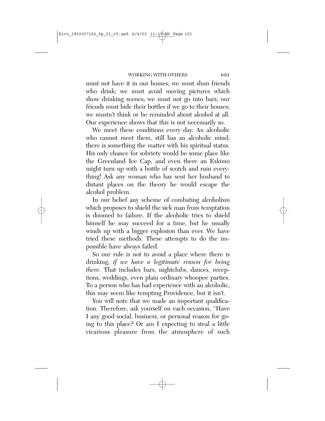must not have it in our homes; we must shun friends who drink; we must avoid moving pictures which show drinking scenes; we must not go into bars; our friends must hide their bottles if we go to their houses; we mustn't think or be reminded about alcohol at all. Our experience shows that this is not necessarily so.

We meet these conditions every day. An alcoholic who cannot meet them, still has an alcoholic mind: there is something the matter with his spiritual status. His only chance for sobriety would be some place like the Greenland Ice Cap, and even there an Eskimo might turn up with a bottle of scotch and ruin everything! Ask any woman who has sent her husband to distant places on the theory he would escape the alcohol problem.

In our belief any scheme of combating alcoholism which proposes to shield the sick man from temptation is doomed to failure. If the alcoholic tries to shield himself he may succeed for a time, but he usually winds up with a bigger explosion than ever. We have tried these methods. These attempts to do the impossible have always failed.

So our rule is not to avoid a place where there is drinking, *if we have a legitimate reason for being there.* That includes bars, nightclubs, dances, receptions, weddings, even plain ordinary whoopee parties. To a person who has had experience with an alcoholic, this may seem like tempting Providence, but it isn't.

You will note that we made an important qualification. Therefore, ask yourself on each occasion, "Have I any good social, business, or personal reason for going to this place? Or am I expecting to steal a little vicarious pleasure from the atmosphere of such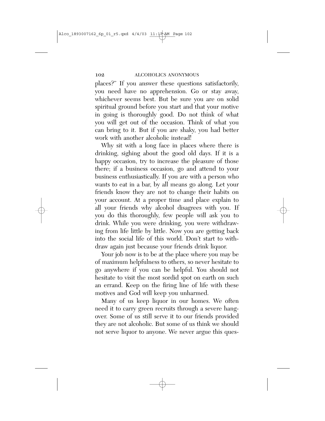places?" If you answer these questions satisfactorily, you need have no apprehension. Go or stay away, whichever seems best. But be sure you are on solid spiritual ground before you start and that your motive in going is thoroughly good. Do not think of what you will get out of the occasion. Think of what you can bring to it. But if you are shaky, you had better work with another alcoholic instead!

Why sit with a long face in places where there is drinking, sighing about the good old days. If it is a happy occasion, try to increase the pleasure of those there; if a business occasion, go and attend to your business enthusiastically. If you are with a person who wants to eat in a bar, by all means go along. Let your friends know they are not to change their habits on your account. At a proper time and place explain to all your friends why alcohol disagrees with you. If you do this thoroughly, few people will ask you to drink. While you were drinking, you were withdrawing from life little by little. Now you are getting back into the social life of this world. Don't start to withdraw again just because your friends drink liquor.

Your job now is to be at the place where you may be of maximum helpfulness to others, so never hesitate to go anywhere if you can be helpful. You should not hesitate to visit the most sordid spot on earth on such an errand. Keep on the firing line of life with these motives and God will keep you unharmed.

Many of us keep liquor in our homes. We often need it to carry green recruits through a severe hangover. Some of us still serve it to our friends provided they are not alcoholic. But some of us think we should not serve liquor to anyone. We never argue this ques